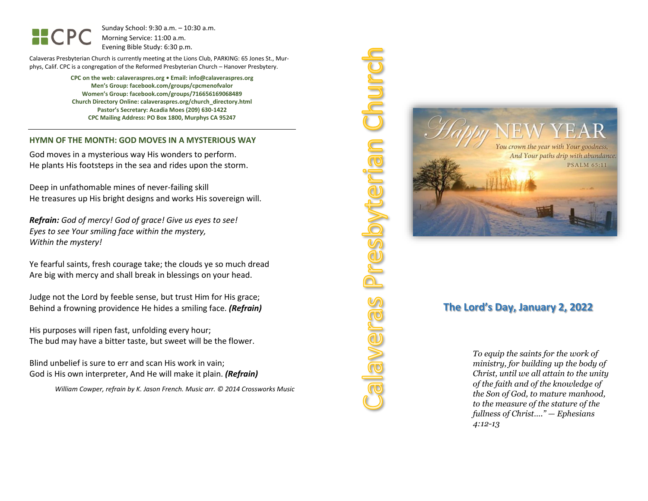Sunday School: 9:30 a.m. – 10:30 a.m. Morning Service: 11:00 a.m. Evening Bible Study: 6:30 p.m.

Calaveras Presbyterian Church is currently meeting at the Lions Club, PARKING: 65 Jones St., Murphys, Calif. CPC is a congregation of the Reformed Presbyterian Church – Hanover Presbytery.

> **CPC on the web: calaveraspres.org • Email: info@calaveraspres.org Men's Group: facebook.com/groups/cpcmenofvalor Women's Group: facebook.com/groups/716656169068489 Church Directory Online: calaveraspres.org/church\_directory.html Pastor's Secretary: Acadia Moes (209) 630-1422 CPC Mailing Address: PO Box 1800, Murphys CA 95247**

#### **HYMN OF THE MONTH: GOD MOVES IN A MYSTERIOUS WAY**

God moves in a mysterious way His wonders to perform. He plants His footsteps in the sea and rides upon the storm.

Deep in unfathomable mines of never-failing skill He treasures up His bright designs and works His sovereign will.

*Refrain: God of mercy! God of grace! Give us eyes to see! Eyes to see Your smiling face within the mystery, Within the mystery!*

Ye fearful saints, fresh courage take; the clouds ye so much dread Are big with mercy and shall break in blessings on your head.

Judge not the Lord by feeble sense, but trust Him for His grace; Behind a frowning providence He hides a smiling face. *(Refrain)*

His purposes will ripen fast, unfolding every hour; The bud may have a bitter taste, but sweet will be the flower.

Blind unbelief is sure to err and scan His work in vain; God is His own interpreter, And He will make it plain. *(Refrain)*

*William Cowper, refrain by K. Jason French. Music arr. © 2014 Crossworks Music*



**Disinerian** 

ever

## **The Lord's Day, January 2, 2022**

*To equip the saints for the work of ministry, for building up the body of Christ, until we all attain to the unity of the faith and of the knowledge of the Son of God, to mature manhood, to the measure of the stature of the fullness of Christ…." — Ephesians 4:12-13*